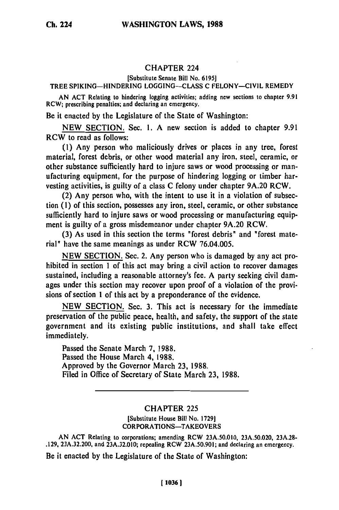## CHAPTER 224

**[Substitute Senate Bill No. 6195]**

## TREE **SPIKING-HINDERING LOGGING-CLASS C FELONY-CIVIL REMEDY**

**AN ACT** Relating to hindering logging activities; adding new sections to chapter **9.91** RCW; prescribing penalties; and declaring an emergency.

Be it enacted **by** the Legislature of the State of Washington:

**NEW SECTION.** Sec. **1. A** new section is added to chapter **9.91** RCW to read as follows:

**(1)** Any person who maliciously drives or places in any tree, forest material, forest debris, or other wood material any iron, steel, ceramic, or other substance sufficiently hard to injure saws or wood processing or manufacturing equipment, for the purpose of hindering logging or timber harvesting activities, is guilty of a class **C** felony under chapter **9A.20** RCW.

(2) Any person who, with the intent to use it in a violation of subsection **(1)** of this section, possesses any iron, steel, ceramic, or other substance sufficiently hard to injure saws or wood processing or manufacturing equipment is guilty of a gross misdemeanor under chapter **9A.20** RCW.

**(3)** As used in this section the terms "forest debris" and "forest material" have the same meanings as under RCW **76.04.005.**

**NEW** SECTION. Sec. 2. Any person who is damaged **by** any act prohibited in section **1** of this act may bring a civil action to recover damages sustained, including a reasonable attorney's fee. **A** party seeking civil damages under this section may recover upon proof of a violation of the provisions of section **1** of this act **by** a preponderance of the evidence.

**NEW SECTION.** Sec. **3.** This act is necessary for the immediate preservation of the public peace, health, and safety, the support of the state government and its existing public institutions, and shall take effect immediately.

Passed the Senate March **7, 1988.** Passed the House March 4, **1988.** Approved **by** the Governor March **23, 1988.** Filed in Office of Secretary of State March **23, 1988.**

## CHAPTER **225**

[Substitute House Bill No. **1729]** CORPORATIONS-TAKEOVERS

**AN ACT** Relating to corporations; amending RCW **23A.50.010, 23A.50.020, 23A.28- .129, 23A.32.200,** and **23A.32.010;** repealing RCW **23A.50.901;** and declaring an emergency.

Be it enacted **by** the Legislature of the State of Washington: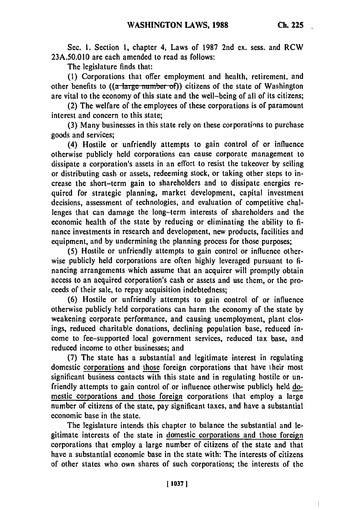Sec. **1.** Section 1, chapter 4, Laws of 1987 2nd ex. sess. and RCW 23A.50.010 are each amended to read as follows:

The legislature finds that:

(1) Corporations that offer employment and health, retirement, and other benefits to  $((a<sup>-</sup>large number of))$  citizens of the state of Washington are vital to the economy of this state and the well-being of all of its citizens;

(2) The welfare of the employees of these corporations is of paramount interest and concern to this state;

(3) Many businesses in this state rely on these corporatinns to purchase goods and services;

(4) Hostile or unfriendly attempts to gain control of or influence otherwise publicly held corporations can cause corporate management to dissipate a corporation's assets in an effort to resist the takeover by selling or distributing cash or assets, redeeming stock, or taking other steps to increase the short-term gain to shareholders and to dissipate energies required for strategic planning, market development, capital investment decisions, assessment of technologies, and evaluation of competitive challenges that can damage the long-term interests of shareholders and the economic health of the state by reducing or eliminating the ability to finance investments in research and development, new products, facilities and equipment, and by undermining the planning process for those purposes;

(5) Hostile or unfriendly attempts to gain control or influence otherwise publicly held corporations are often highly leveraged pursuant to financing arrangements which assume that an acquirer will promptly obtain access to an acquired corporation's cash or assets and use them, or the proceeds of their sale, to repay acquisition indebtedness;

(6) Hostile or unfriendly attempts to gain control of or influence otherwise publicly held corporations can harm the economy of the state by weakening corporate performance, and causing unemployment, plant closings, reduced charitable donations, declining population base, reduced income to fee-supported local government services, reduced tax base, and reduced income to other businesses; and

(7) The state has a substantial and legitimate interest in regulating domestic corporations and those foreign corporations that have their most significant business contacts with this state and in regulating hostile or unfriendly attempts to gain control of or influence otherwise publicly held domestic corporations and those foreign corporations that employ a large number of citizens of the state, pay significant taxes, and have a substantial economic base in the state.

The legislature intends this chapter to balance the substantial and legitimate interests of the state in domestic corporations and those foreign corporations that employ a large number of citizens of the state and that have a substantial economic base in the state with: The interests of citizens of other states who own shares of such corporations; the interests of the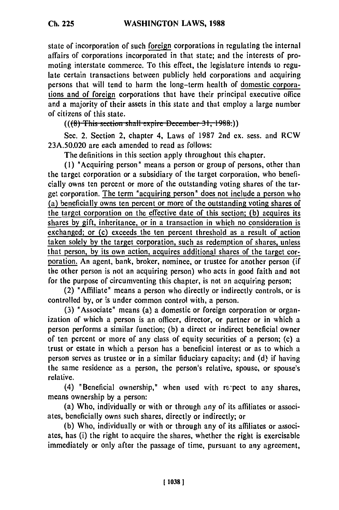state of incorporation of such foreign corporations in regulating the internal affairs of corporations incorporated in that state; and the interests of promoting interstate commerce. To this effect, the legislature intends to regulate certain transactions between publicly held corporations and acquiring persons that will tend to harm the long-term health of domestic corporations and of foreign corporations that have their principal executive office and a majority of their assets in this state and that employ a large number of citizens of this state.

 $((6)$  This section shall expire December 31, 1988.))

Sec. 2. Section 2, chapter 4, Laws of 1987 2nd ex. sess. and RCW 23A.50.020 are each amended to read as follows:

The definitions in this section apply throughout this chapter.

**(1)** "Acquiring person" means a person or group of persons, other than the target corporation or a subsidiary of the target corporation, who beneficially owns ten percent or more of the outstanding voting shares of the target corporation. The term "acquiring person" does not include a person who (a) beneficially owns ten percent or more of the outstanding voting shares of the target corporation on the effective date of this section; **(b)** acquires its shares by gift, inheritance, or in a transaction in which no consideration is exchanged; or (c) exceeds the ten percent threshold as a result of action taken solely **by** the target corporation, such as redemption of shares, unless that person, **by** its own action, acquires additional shares of the target corporation. An agent, bank, broker, nominee, or trustee for another person (if the other person is not an acquiring person) who acts in good faith and not for the purpose of circumventing this chapter, is not an acquiring person;

(2) "Affiliate" means a person who directly or indirectly controls, or is controlled by, or is under common control with, a person.

(3) "Associate" means (a) a domestic or foreign corporation or organization of which a person is an officer, director, or partner or in which a person performs a similar function; (b) a direct or indirect beneficial owner of ten percent or more of any class of equity securities of a person; (c) a trust or estate in which a person has a beneficial interest or as to which a person serves as trustee or in a similar fiduciary capacity; and (d) if having the same residence as a person, the person's relative, spouse, or spouse's relative.

 $(4)$  "Beneficial ownership," when used with repect to any shares, means ownership by a person:

(a) Who, individually or with or through any of its affiliates or associates, beneficially owns such shares, directly or indirectly; or

(b) Who, individually or with or through any of its affiliates or associates, has (i) the right to acquire the shares, whether the right is exercisable immediately or only after the passage of time, pursuant to any agreement,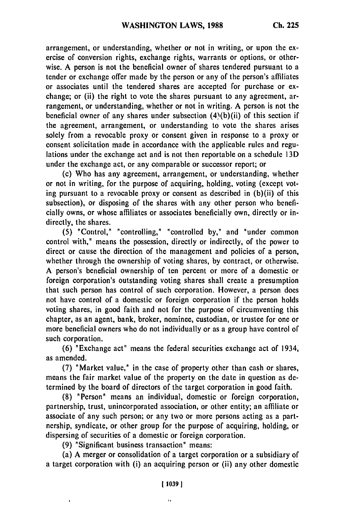arrangement, or understanding, whether or not in writing, or upon the exercise of conversion rights, exchange rights, warrants or options, or otherwise. A person is not the beneficial owner of shares tendered pursuant to a tender or exchange offer made by the person or any of the person's affiliates or associates until the tendered shares are accepted for purchase or exchange; or (ii) the right to vote the shares pursuant to any agreement, arrangement, or understanding, whether or not in writing. A person is not the beneficial owner of any shares under subsection  $(4)(b)(ii)$  of this section if the agreement, arrangement, or understanding to vote the shares arises solely from a revocable proxy or consent given in response to a proxy or consent solicitation made in accordance with the applicable rules and regulations under the exchange act and is not then reportable on a schedule 13D under the exchange act, or any comparable or successor report; or

(c) Who has any agreement, arrangement, or understanding, whether or not in writing, for the purpose of acquiring, holding, voting (except voting pursuant to a revocable proxy or consent as described in (b)(ii) of this subsection), or disposing of the shares with any other person who beneficially owns, or whose affiliates or associates beneficially own, directly or indirectly, the shares.

(5) "Control," "controlling," "controlled by," and "under common control with," means the possession, directly or indirectly, of the power to direct or cause the direction of the management and policies of a person, whether through the ownership of voting shares, by contract, or otherwise. A person's beneficial ownership of ten percent or more of a domestic or foreign corporation's outstanding voting shares shall create a presumption that such person has control of such corporation. However, a person does not have control of a domestic or foreign corporation if the person holds voting shares, in good faith and not for the purpose of circumventing this chapter, as an agent, bank, broker, nominee, custodian, or trustee for one or more beneficial owners who do not individually or as a group have control of such corporation.

(6) "Exchange act" means the federal securities exchange act of 1934, as amended.

(7) "Market value," in the case of property other than cash or shares, means the fair market value of the property on the date in question as determined by the board of directors of the target corporation in good faith.

(8) "Person" means an individual, domestic or foreign corporation, partnership, trust, unincorporated association, or other entity; an affiliate or associate of any such person; or any two or more persons acting as a partnership, syndicate, or other group for the purpose of acquiring, holding, or dispersing of securities of a domestic or foreign corporation.

**(9)** "Significant business transaction" means:

(a) A merger or consolidation of a target corporation or a subsidiary of a target corporation with (i) an acquiring person or (ii) any other domestic

 $^{\prime}$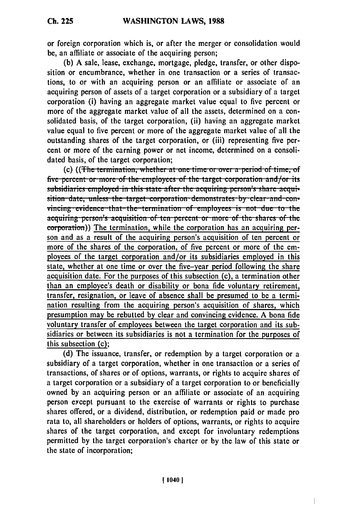**Ch. 225**

or foreign corporation which is, or after the merger or consolidation would be, an affiliate or associate of the acquiring person;

**(b) A** sale, lease, exchange, mortgage, pledge, transfer, or other disposition or encumbrance, whether in one transaction or a series of transactions, to or with an acquiring person or an affiliate or associate of an acquiring person of assets of a target corporation or a subsidiary of a target corporation (i) having an aggregate market value equal to five percent or more of the aggregate market value of all the assets, determined on a consolidated basis, of the target corporation, (ii) having an aggregate market value equal to five percent or more of the aggregate market value of all the outstanding shares of the target corporation, or (iii) representing five percent or more of the earning power or net income, determined on a consolidated basis, of the target corporation;

(c) ((The termination, whether at one time or over a period of time, of five percent or more of the employees of the target corporation and/or its subsidiaries employed in this state after the acquiring person's share acqui-<br>sition date, unless the target corporation demonstrates by clear and convincing evidence that the termination of employees is not due to the acquiring person's acquisition of ten percent or more of the shares of the corporation)) The termination, while the corporation has an acquiring person and as a result of the acquiring person's acquisition of ten percent or more of the shares of the corporation, of five percent or more of the employees of the target corporation and/or its subsidiaries employed in this state, whether at one time or over the five-year period following the share acquisition date. For the purposes of this subsection (c), a termination other than an employee's death or disability or bona fide voluntary retirement, transfer, resignation, or leave of absence shall be presumed to be a termination resulting from the acquiring person's acquisition of shares, which presumption may be rebutted **by** clear and convincing evidence. **A** bona fide voluntary transfer of employees between the target corporation and its subsidiaries or between its subsidiaries is not a termination for the purposes of this subsection (c);

**(d)** The issuance, transfer, or redemption **by** a target corporation or a subsidiary of a target corporation, whether in one transaction or a series of transactions, of shares or of options, warrants, or rights to acquire shares of a target corporation or a subsidiary of a target corporation to or beneficially owned **by** an acquiring person or an affiliate or associate of an acquiring person except pursuant to the exercise of warrants or rights to purchase shares offered, or a dividend, distribution, or redemption paid or made pro rata to, all shareholders or holders of options, warrants, or rights to acquire shares of the target corporation, and except for involuntary redemptions permitted **by** the target corporation's charter or **by** the law of this state or the state of incorporation;

 $\begin{array}{c} \hline \end{array}$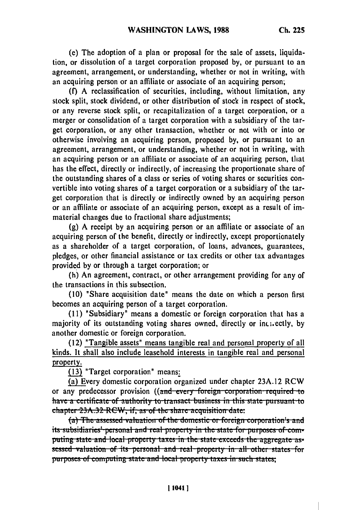(e) The adoption of a plan or proposal for the sale of assets, liquidation, or dissolution of a target corporation proposed **by,** or pursuant to an agreement, arrangement, or understanding, whether or not in writing, with an acquiring person or an affiliate or associate of an acquiring person;

**(f) A** reclassification of securities, including, without limitation, any stock split, stock dividend, or other distribution of stock in respect of stock, or any reverse stock split, or recapitalization of a target corporation, or a merger or consolidation of a target corporation with a subsidiary of the target corporation, or any other transaction, whether or not with or into or otherwise involving an acquiring person, proposed **by,** or pursuant to an agreement, arrangement, or understanding, whether or not in writing, with an acquiring person or an affiliate or associate of an acquiring person, that has the effect, directly or indirectly, of increasing the proportionate share of the outstanding shares of a class or series of voting shares or securities convertible into voting shares of a target corporation or a subsidiary of the target corporation that is directly or indirectly owned **by** an acquiring person or an affiliate or associate of an acquiring person, except as a result of immaterial changes due to fractional share adjustments;

**(g) A** receipt **by** an acquiring person or an affiliate or associate of an acquiring person of the benefit, directly or indirectly, except proportionately as a shareholder of a target corporation, of loans, advances, guarantees, pledges, or other financial assistance or tax credits or other tax advantages provided **by** or through a target corporation; or

(h) An agreement, contract, or other arrangement providing for any of the transactions in this subsection.

**(10)** "Share acquisition date" means the date on which a person first becomes an acquiring person of a target corporation.

**(11)** "Subsidiary" means a domestic or foreign corporation that has a majority of its outstanding voting shares owned, directly or includedly, by another domestic or foreign corporation.

**(12)** "Tangible assets" means tangible real and personal property of all kinds. It shall also include leasehold interests in tangible real and personal property.

**( 3)** "Target corporation" means:

(a) Every domestic corporation organized under chapter 23A.12 RCW as Every domestic corporation organized under enapter 25A.12 KCW or any predecessor provision ((and every foreign corporation required to have a certificate of authority to transact business in this state pursuant to chapter 23A.32 RCW, if, as of the share acquisition date:

ter 23A.32 RCW, if, as of the share acquisition date:<br>(a) The assessed valuation of the domestic or foreign corporation's and puting state and local property taxes in the state exceeds the aggregate as-<br>sessed valuation of its personal and real property in all other states for purposes of computing state and local property taxes in such states: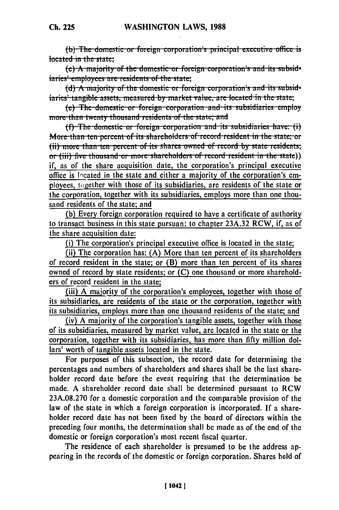$(b)$  The domestic or foreign corporation's principal executive office is **(c) A** majority of the domestic or foreign corporation's and its subsid-<br>**(c)** A majority of the domestic or foreign corporation's and its subsid-

**(d)**  $\frac{1}{2}$  **the state;**<br>(d)  $\frac{1}{2}$  **A** majority of the domestic or foreign corporation's and its subsid-

iaries<sup>1</sup> tangible assets, measured by market value, are located in the state;

(e) The domestic or foreign corporation and its subsidiaries employ more than twenty thousand residents of the state; and

(f) The domestic or foreign corporation and its subsidiaries have: (i)<br>More than ten percent of its shareholders of record resident in the state; or  $(iii)$  more than ten percent of its shares owned of record by state residents: **or** (iii) five thousand or more shareholders of record resident in the state)) if, as of the share acquisition date, the corporation's principal executive office is located in the state and either a majority of the corporation's employees, together with those of its subsidiaries, are residents of the state or the corporation, together with its subsidiaries, employs more than one thousand residents of the state; and

(b) Every foreign corporation required to have a certificate of authority to transact business in this state pursuan; to chapter  $23A.32$  RCW, if, as of the share acquisition date:

(i) The corporation's principal executive office is located in the state;

(ii) The corporation has: (A) More than ten percent of its shareholders of record resident in the state; or (B) more than ten percent of its shares owned of record by state residents; or (C) one thousand or more shareholders of record resident in the state;

(iii) A majority of the corporation's employees, together with those of its subsidiaries, are residents of the state or the corporation, together with its subsidiaries, employs more than one thousand residents of the state; and

(iv) A majority of the corporation's tangible assets, together with those of its subsidiaries, measured by market value, are located in the state or the corporation, together with its subsidiaries, has more than fifty million dollars' worth of tangible assets located in the state.

For purposes of this subsection, the record date for determining the percentages and numbers of shareholders and shares shall be the last shareholder record date before the event requiring that the determination be made. A shareholder record date shall be determined pursuant to RCW 23A.08.270 for a domestic corporation and the comparable provision of the law of the state in which a foreign corporation is incorporated. If a shareholder record date has not been fixed by the board of directors within the preceding four months, the determination shall be made as of the end of the domestic or foreign corporation's most recent fiscal quarter.

The residence of each shareholder is presumed to be the address appearing in the records of the domestic or foreign corporation. Shares held of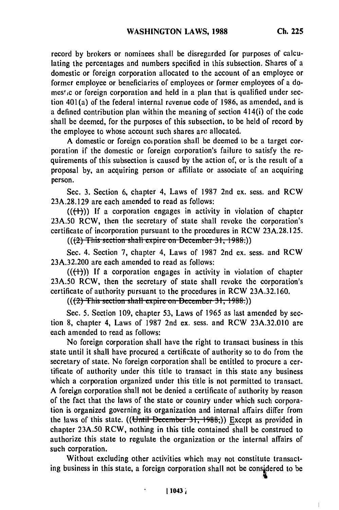record by brokers or nominees shall be disregarded for purposes of calculating the percentages and numbers specified in this subsection. Shares of a domestic or foreign corporation allocated to the account of an employee or former employee or beneficiaries of employees or former employees of a domes' c or foreign corporation and held in a plan that is qualified under section 401(a) of the federal internal revenue code of 1986, as amended, and is a defined contribution plan within the meaning of section 414(i) of the code shall be deemed, for the purposes of this subsection, to be held of record by the employee to whose account such shares **arc** allocated.

A domestic or foreign coiporation shall be deemed to be a target corporation if the domestic or foreign corporation's failure to satisfy the requirements of this subsection is caused by the action of, or is the result of a proposal by, an acquiring person or affiliate or associate of an acquiring person.

Sec. 3. Section 6, chapter 4, Laws of 1987 2nd ex. sess. and RCW 23A.28.129 are each amended to read as follows:

 $((+))$ ) If a corporation engages in activity in violation of chapter 23A.50 RCW, then the secretary of state shall revoke the corporation's certificate of incorporation pursuant to the procedures in RCW 23A.28.125.

 $((2)$  This section shall expire on December 31, 1988.)

Sec. 4. Section 7, chapter 4, Laws of 1987 2nd ex. sess. and RCW 23A.32.200 are each amended to read as follows:

 $((+))$ ) If a corporation engages in activity in violation of chapter 23A.50 RCW, then the secretary of state shall revoke the corporation's certificate of authority pursuant to the procedures in RCW 23A.32.160.

(((2) This section shall expire on December 31, 1988.))

Sec. 5. Section 109, chapter 53, Laws of 1965 as last amended by section 8, chapter 4, Laws of 1987 2nd ex. sess. and RCW 23A.32.010 are each amended to read as follows:

No foreign corporation shall have the right to transact business in this state until it shall have procured a certificate of authority so to do from the secretary of state. No foreign corporation shall be entitled to procure a certificate of authority under this title to transact in this state any business which a corporation organized under this title is not permitted to transact. A foreign corporation shall not be denied a certificate of authority by reason of the fact that the laws of the state or country under which such corporation is organized governing its organization and internal affairs differ from the laws of this state. ((Until December 31, 1988;)) Except as provided in chapter **23A.50** RCW, nothing in this title contained shall be construed to authorize this state to regulate the organization or the internal affairs of such corporation.

Without excluding other activities which may not constitute transacting business in this state, a foreign corporation shall not be considered to be